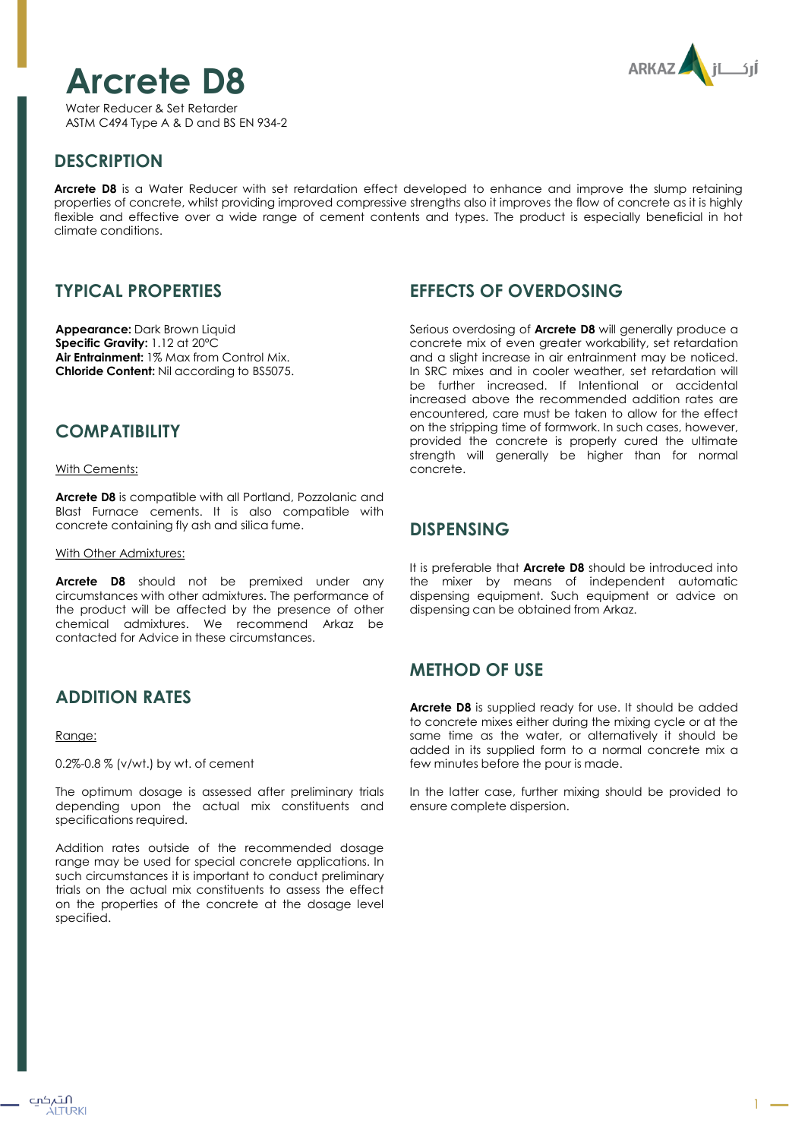# **Arcrete D8**

Water Reducer & Set Retarder ASTM C494 Type A & D and BS EN 934-2



## **DESCRIPTION**

**Arcrete D8** is a Water Reducer with set retardation effect developed to enhance and improve the slump retaining properties of concrete, whilst providing improved compressive strengths also it improves the flow of concrete as it is highly flexible and effective over a wide range of cement contents and types. The product is especially beneficial in hot climate conditions.

# **TYPICAL PROPERTIES**

**Appearance:** Dark Brown Liquid **Specific Gravity:** 1.12 at 20ºC **Air Entrainment:** 1% Max from Control Mix. **Chloride Content:** Nil according to BS5075.

## **COMPATIBILITY**

With Cements:

**Arcrete D8** is compatible with all Portland, Pozzolanic and Blast Furnace cements. It is also compatible with concrete containing fly ash and silica fume.

#### With Other Admixtures:

**Arcrete D8** should not be premixed under any circumstances with other admixtures. The performance of the product will be affected by the presence of other chemical admixtures. We recommend Arkaz be contacted for Advice in these circumstances.

# **ADDITION RATES**

#### Range:

0.2%-0.8 % (v/wt.) by wt. of cement

The optimum dosage is assessed after preliminary trials depending upon the actual mix constituents and specifications required.

Addition rates outside of the recommended dosage range may be used for special concrete applications. In such circumstances it is important to conduct preliminary trials on the actual mix constituents to assess the effect on the properties of the concrete at the dosage level specified.

## **EFFECTS OF OVERDOSING**

Serious overdosing of **Arcrete D8** will generally produce a concrete mix of even greater workability, set retardation and a slight increase in air entrainment may be noticed. In SRC mixes and in cooler weather, set retardation will be further increased. If Intentional or accidental increased above the recommended addition rates are encountered, care must be taken to allow for the effect on the stripping time of formwork. In such cases, however, provided the concrete is properly cured the ultimate strength will generally be higher than for normal concrete.

#### **DISPENSING**

It is preferable that **Arcrete D8** should be introduced into the mixer by means of independent automatic dispensing equipment. Such equipment or advice on dispensing can be obtained from Arkaz.

# **METHOD OF USE**

**Arcrete D8** is supplied ready for use. It should be added to concrete mixes either during the mixing cycle or at the same time as the water, or alternatively it should be added in its supplied form to a normal concrete mix a few minutes before the pour is made.

In the latter case, further mixing should be provided to ensure complete dispersion.